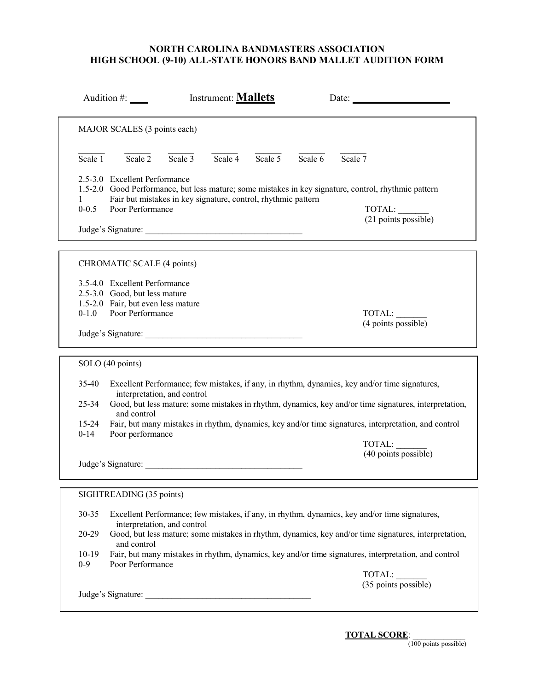|                       | Audition $#$ :                                                                                                                                                                                                             | Instrument: <b>Mallets</b> |                      |         | Date: $\qquad \qquad$                                                                                 |  |
|-----------------------|----------------------------------------------------------------------------------------------------------------------------------------------------------------------------------------------------------------------------|----------------------------|----------------------|---------|-------------------------------------------------------------------------------------------------------|--|
|                       | MAJOR SCALES (3 points each)                                                                                                                                                                                               |                            |                      |         |                                                                                                       |  |
| Scale 1               | Scale $\overline{2}$<br>Scale $3$                                                                                                                                                                                          | Scale 4                    | Scale $\overline{5}$ | Scale 6 | Scale 7                                                                                               |  |
| $0 - 0.5$             | 2.5-3.0 Excellent Performance<br>1.5-2.0 Good Performance, but less mature; some mistakes in key signature, control, rhythmic pattern<br>Fair but mistakes in key signature, control, rhythmic pattern<br>Poor Performance |                            |                      |         | TOTAL:<br>(21 points possible)                                                                        |  |
|                       |                                                                                                                                                                                                                            |                            |                      |         |                                                                                                       |  |
|                       | CHROMATIC SCALE (4 points)                                                                                                                                                                                                 |                            |                      |         |                                                                                                       |  |
| $0 - 1.0$             | 3.5-4.0 Excellent Performance<br>2.5-3.0 Good, but less mature<br>1.5-2.0 Fair, but even less mature<br>Poor Performance                                                                                                   |                            |                      |         | TOTAL:                                                                                                |  |
|                       | Judge's Signature:                                                                                                                                                                                                         |                            |                      |         | (4 points possible)                                                                                   |  |
|                       | SOLO (40 points)                                                                                                                                                                                                           |                            |                      |         |                                                                                                       |  |
| 35-40                 |                                                                                                                                                                                                                            |                            |                      |         | Excellent Performance; few mistakes, if any, in rhythm, dynamics, key and/or time signatures,         |  |
| $25 - 34$             | interpretation, and control<br>and control                                                                                                                                                                                 |                            |                      |         | Good, but less mature; some mistakes in rhythm, dynamics, key and/or time signatures, interpretation, |  |
| $15 - 24$<br>$0 - 14$ | Fair, but many mistakes in rhythm, dynamics, key and/or time signatures, interpretation, and control<br>Poor performance                                                                                                   |                            |                      |         |                                                                                                       |  |
|                       |                                                                                                                                                                                                                            |                            |                      |         | TOTAL:<br>$(40$ points possible)                                                                      |  |
|                       | SIGHTREADING (35 points)                                                                                                                                                                                                   |                            |                      |         |                                                                                                       |  |
| 30-35                 |                                                                                                                                                                                                                            |                            |                      |         | Excellent Performance; few mistakes, if any, in rhythm, dynamics, key and/or time signatures,         |  |
| 20-29                 | interpretation, and control                                                                                                                                                                                                |                            |                      |         | Good, but less mature; some mistakes in rhythm, dynamics, key and/or time signatures, interpretation, |  |
| $10-19$<br>$0-9$      | and control<br>Poor Performance                                                                                                                                                                                            |                            |                      |         | Fair, but many mistakes in rhythm, dynamics, key and/or time signatures, interpretation, and control  |  |
|                       |                                                                                                                                                                                                                            |                            |                      |         | TOTAL:<br>(35 points possible)                                                                        |  |
|                       | Judge's Signature:                                                                                                                                                                                                         |                            |                      |         |                                                                                                       |  |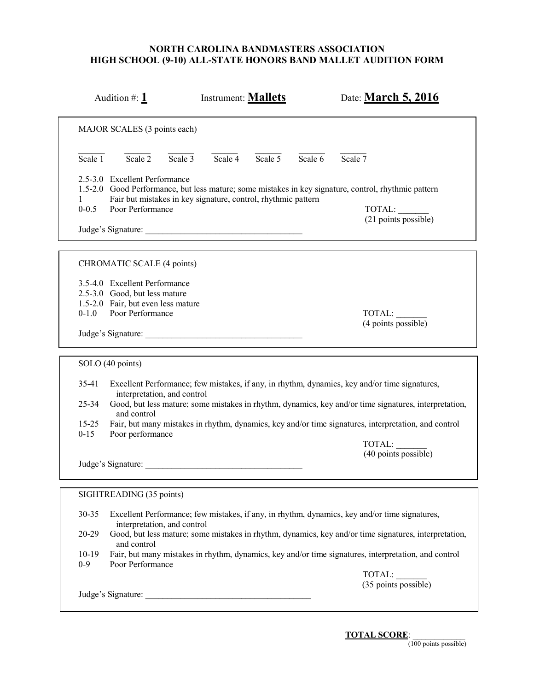| Audition #: $1$                                                                                                                                             | <b>Instrument: Mallets</b>                                    | Date: March 5, 2016                                                                                                                                                                                                                                                                                            |
|-------------------------------------------------------------------------------------------------------------------------------------------------------------|---------------------------------------------------------------|----------------------------------------------------------------------------------------------------------------------------------------------------------------------------------------------------------------------------------------------------------------------------------------------------------------|
| MAJOR SCALES (3 points each)                                                                                                                                |                                                               |                                                                                                                                                                                                                                                                                                                |
| Scale $\overline{2}$<br>Scale $3$<br>Scale 1                                                                                                                | Scale $\overline{4}$<br>Scale $5$                             | Scale $7$<br>Scale 6                                                                                                                                                                                                                                                                                           |
| 2.5-3.0 Excellent Performance<br>$\mathbf{I}$<br>Poor Performance<br>$0 - 0.5$                                                                              | Fair but mistakes in key signature, control, rhythmic pattern | 1.5-2.0 Good Performance, but less mature; some mistakes in key signature, control, rhythmic pattern<br>TOTAL:<br>(21 points possible)                                                                                                                                                                         |
| CHROMATIC SCALE (4 points)                                                                                                                                  |                                                               |                                                                                                                                                                                                                                                                                                                |
| 3.5-4.0 Excellent Performance<br>2.5-3.0 Good, but less mature<br>1.5-2.0 Fair, but even less mature<br>$0 - 1.0$<br>Poor Performance<br>Judge's Signature: |                                                               | TOTAL:<br>(4 points possible)                                                                                                                                                                                                                                                                                  |
| SOLO (40 points)                                                                                                                                            |                                                               |                                                                                                                                                                                                                                                                                                                |
| 35-41<br>interpretation, and control<br>$25 - 34$<br>and control<br>$15 - 25$<br>$0 - 15$<br>Poor performance                                               |                                                               | Excellent Performance; few mistakes, if any, in rhythm, dynamics, key and/or time signatures,<br>Good, but less mature; some mistakes in rhythm, dynamics, key and/or time signatures, interpretation,<br>Fair, but many mistakes in rhythm, dynamics, key and/or time signatures, interpretation, and control |
| Judge's Signature:                                                                                                                                          |                                                               | TOTAL:<br>(40 points possible)                                                                                                                                                                                                                                                                                 |
| SIGHTREADING (35 points)                                                                                                                                    |                                                               |                                                                                                                                                                                                                                                                                                                |
| 30-35<br>interpretation, and control                                                                                                                        |                                                               | Excellent Performance; few mistakes, if any, in rhythm, dynamics, key and/or time signatures,                                                                                                                                                                                                                  |
| 20-29<br>and control                                                                                                                                        |                                                               | Good, but less mature; some mistakes in rhythm, dynamics, key and/or time signatures, interpretation,                                                                                                                                                                                                          |
| $10-19$<br>$0 - 9$<br>Poor Performance                                                                                                                      |                                                               | Fair, but many mistakes in rhythm, dynamics, key and/or time signatures, interpretation, and control<br>TOTAL:                                                                                                                                                                                                 |
|                                                                                                                                                             |                                                               | $(35$ points possible)                                                                                                                                                                                                                                                                                         |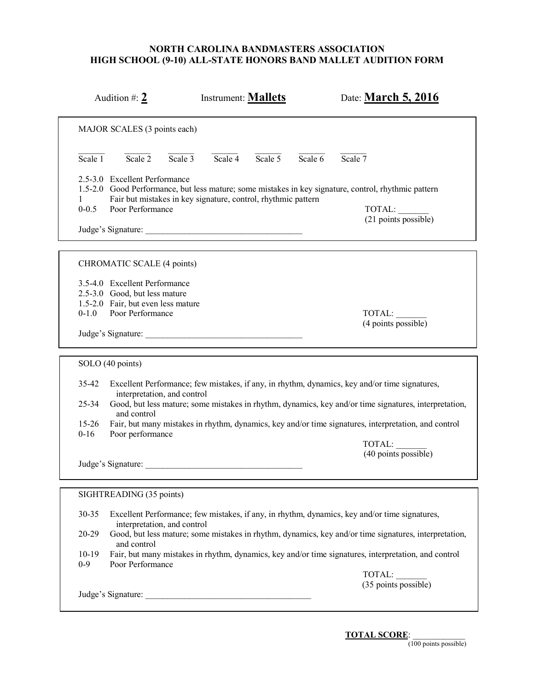| MAJOR SCALES (3 points each)                                                                                                                                |                                                               |                                                                                                                                                                                                                                                                                                                          |
|-------------------------------------------------------------------------------------------------------------------------------------------------------------|---------------------------------------------------------------|--------------------------------------------------------------------------------------------------------------------------------------------------------------------------------------------------------------------------------------------------------------------------------------------------------------------------|
|                                                                                                                                                             |                                                               |                                                                                                                                                                                                                                                                                                                          |
| $\overline{\text{Scale} 1}$<br>Scale $\overline{2}$<br>Scale $3$                                                                                            | Scale $\overline{4}$<br>Scale $5$                             | Scale 7<br>Scale 6                                                                                                                                                                                                                                                                                                       |
| 2.5-3.0 Excellent Performance<br>1<br>$0 - 0.5$<br>Poor Performance                                                                                         | Fair but mistakes in key signature, control, rhythmic pattern | 1.5-2.0 Good Performance, but less mature; some mistakes in key signature, control, rhythmic pattern<br>TOTAL:<br>(21 points possible)                                                                                                                                                                                   |
| CHROMATIC SCALE (4 points)                                                                                                                                  |                                                               |                                                                                                                                                                                                                                                                                                                          |
| 3.5-4.0 Excellent Performance<br>2.5-3.0 Good, but less mature<br>1.5-2.0 Fair, but even less mature<br>$0 - 1.0$<br>Poor Performance<br>Judge's Signature: |                                                               | TOTAL:<br>(4 points possible)                                                                                                                                                                                                                                                                                            |
| SOLO (40 points)                                                                                                                                            |                                                               |                                                                                                                                                                                                                                                                                                                          |
| 35-42<br>interpretation, and control<br>$25 - 34$<br>and control<br>$15 - 26$                                                                               |                                                               | Excellent Performance; few mistakes, if any, in rhythm, dynamics, key and/or time signatures,<br>Good, but less mature; some mistakes in rhythm, dynamics, key and/or time signatures, interpretation,<br>Fair, but many mistakes in rhythm, dynamics, key and/or time signatures, interpretation, and control           |
| $0 - 16$<br>Poor performance<br>Judge's Signature:                                                                                                          |                                                               | TOTAL:<br>(40 points possible)                                                                                                                                                                                                                                                                                           |
| SIGHTREADING (35 points)                                                                                                                                    |                                                               |                                                                                                                                                                                                                                                                                                                          |
| 30-35<br>interpretation, and control<br>20-29<br>and control<br>$10-19$<br>$0-9$<br>Poor Performance                                                        |                                                               | Excellent Performance; few mistakes, if any, in rhythm, dynamics, key and/or time signatures,<br>Good, but less mature; some mistakes in rhythm, dynamics, key and/or time signatures, interpretation,<br>Fair, but many mistakes in rhythm, dynamics, key and/or time signatures, interpretation, and control<br>TOTAL: |
|                                                                                                                                                             |                                                               | (35 points possible)                                                                                                                                                                                                                                                                                                     |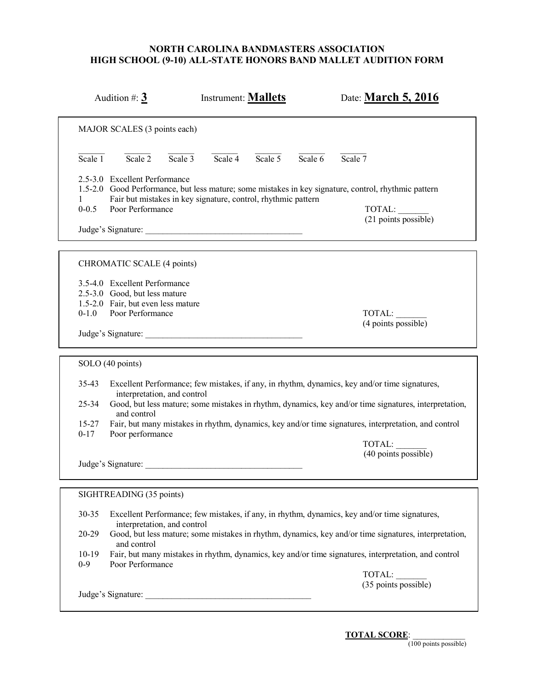|                                                 | Audition #: $3$                                                                                                                                |           | <b>Instrument: Mallets</b> |           |           | Date: March 5, 2016                                                                                                                                                                                                                                                                                            |
|-------------------------------------------------|------------------------------------------------------------------------------------------------------------------------------------------------|-----------|----------------------------|-----------|-----------|----------------------------------------------------------------------------------------------------------------------------------------------------------------------------------------------------------------------------------------------------------------------------------------------------------------|
|                                                 | MAJOR SCALES (3 points each)                                                                                                                   |           |                            |           |           |                                                                                                                                                                                                                                                                                                                |
| Scale 1                                         | Scale $\overline{2}$                                                                                                                           | Scale $3$ | Scale $\overline{4}$       | Scale $5$ | Scale $6$ | Scale $7$                                                                                                                                                                                                                                                                                                      |
| $\mathbf{I}$<br>$0 - 0.5$                       | 2.5-3.0 Excellent Performance<br>Fair but mistakes in key signature, control, rhythmic pattern<br>Poor Performance                             |           |                            |           |           | 1.5-2.0 Good Performance, but less mature; some mistakes in key signature, control, rhythmic pattern<br>TOTAL:<br>(21 points possible)                                                                                                                                                                         |
|                                                 | CHROMATIC SCALE (4 points)                                                                                                                     |           |                            |           |           |                                                                                                                                                                                                                                                                                                                |
| $0 - 1.0$                                       | 3.5-4.0 Excellent Performance<br>2.5-3.0 Good, but less mature<br>1.5-2.0 Fair, but even less mature<br>Poor Performance<br>Judge's Signature: |           |                            |           |           | TOTAL:<br>(4 points possible)                                                                                                                                                                                                                                                                                  |
|                                                 | SOLO (40 points)                                                                                                                               |           |                            |           |           |                                                                                                                                                                                                                                                                                                                |
| $35 - 43$<br>$25 - 34$<br>$15 - 27$<br>$0 - 17$ | interpretation, and control<br>and control<br>Poor performance                                                                                 |           |                            |           |           | Excellent Performance; few mistakes, if any, in rhythm, dynamics, key and/or time signatures,<br>Good, but less mature; some mistakes in rhythm, dynamics, key and/or time signatures, interpretation,<br>Fair, but many mistakes in rhythm, dynamics, key and/or time signatures, interpretation, and control |
|                                                 | Judge's Signature:                                                                                                                             |           |                            |           |           | TOTAL:<br>(40 points possible)                                                                                                                                                                                                                                                                                 |
|                                                 | SIGHTREADING (35 points)                                                                                                                       |           |                            |           |           |                                                                                                                                                                                                                                                                                                                |
| 30-35                                           | interpretation, and control                                                                                                                    |           |                            |           |           | Excellent Performance; few mistakes, if any, in rhythm, dynamics, key and/or time signatures,                                                                                                                                                                                                                  |
| 20-29                                           | and control                                                                                                                                    |           |                            |           |           | Good, but less mature; some mistakes in rhythm, dynamics, key and/or time signatures, interpretation,                                                                                                                                                                                                          |
| $10-19$<br>$0 - 9$                              | Poor Performance                                                                                                                               |           |                            |           |           | Fair, but many mistakes in rhythm, dynamics, key and/or time signatures, interpretation, and control                                                                                                                                                                                                           |
|                                                 |                                                                                                                                                |           |                            |           |           | TOTAL:<br>$(35$ points possible)                                                                                                                                                                                                                                                                               |
|                                                 |                                                                                                                                                |           |                            |           |           |                                                                                                                                                                                                                                                                                                                |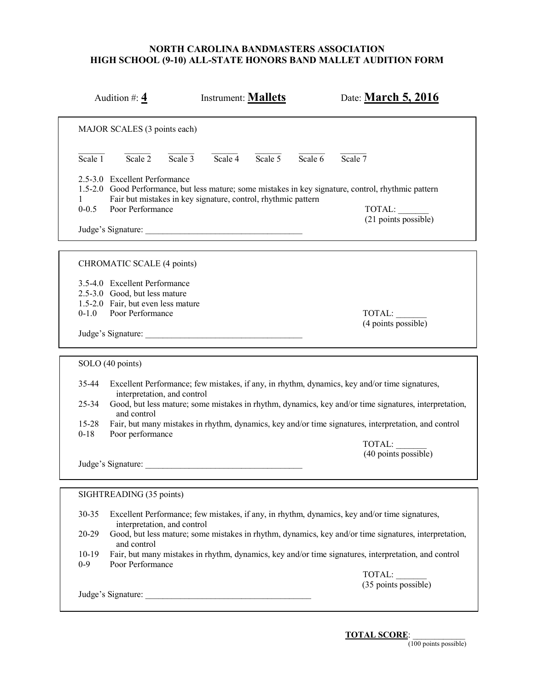|                                             | Audition #: $\frac{4}{3}$                                                                                                                      |           | <b>Instrument: Mallets</b> |                 |         | Date: March 5, 2016                                                                                                                                                                                                                                                                                            |
|---------------------------------------------|------------------------------------------------------------------------------------------------------------------------------------------------|-----------|----------------------------|-----------------|---------|----------------------------------------------------------------------------------------------------------------------------------------------------------------------------------------------------------------------------------------------------------------------------------------------------------------|
|                                             | MAJOR SCALES (3 points each)                                                                                                                   |           |                            |                 |         |                                                                                                                                                                                                                                                                                                                |
| Scale 1                                     | Scale $2$                                                                                                                                      | Scale $3$ |                            | Scale 4 Scale 5 | Scale 6 | Scale 7                                                                                                                                                                                                                                                                                                        |
| $\mathbf{1}$<br>$0 - 0.5$                   | 2.5-3.0 Excellent Performance<br>Fair but mistakes in key signature, control, rhythmic pattern<br>Poor Performance                             |           |                            |                 |         | 1.5-2.0 Good Performance, but less mature; some mistakes in key signature, control, rhythmic pattern<br>TOTAL:<br>(21 points possible)                                                                                                                                                                         |
|                                             | CHROMATIC SCALE (4 points)                                                                                                                     |           |                            |                 |         |                                                                                                                                                                                                                                                                                                                |
| $0 - 1.0$                                   | 3.5-4.0 Excellent Performance<br>2.5-3.0 Good, but less mature<br>1.5-2.0 Fair, but even less mature<br>Poor Performance<br>Judge's Signature: |           |                            |                 |         | TOTAL:<br>(4 points possible)                                                                                                                                                                                                                                                                                  |
|                                             | SOLO (40 points)                                                                                                                               |           |                            |                 |         |                                                                                                                                                                                                                                                                                                                |
| 35-44<br>$25 - 34$<br>$15 - 28$<br>$0 - 18$ | interpretation, and control<br>and control<br>Poor performance                                                                                 |           |                            |                 |         | Excellent Performance; few mistakes, if any, in rhythm, dynamics, key and/or time signatures,<br>Good, but less mature; some mistakes in rhythm, dynamics, key and/or time signatures, interpretation,<br>Fair, but many mistakes in rhythm, dynamics, key and/or time signatures, interpretation, and control |
|                                             | Judge's Signature:                                                                                                                             |           |                            |                 |         | TOTAL:<br>(40 points possible)                                                                                                                                                                                                                                                                                 |
|                                             | SIGHTREADING (35 points)                                                                                                                       |           |                            |                 |         |                                                                                                                                                                                                                                                                                                                |
| 30-35<br>20-29                              | interpretation, and control                                                                                                                    |           |                            |                 |         | Excellent Performance; few mistakes, if any, in rhythm, dynamics, key and/or time signatures,<br>Good, but less mature; some mistakes in rhythm, dynamics, key and/or time signatures, interpretation,                                                                                                         |
| $10-19$<br>$0-9$                            | and control<br>Poor Performance                                                                                                                |           |                            |                 |         | Fair, but many mistakes in rhythm, dynamics, key and/or time signatures, interpretation, and control                                                                                                                                                                                                           |
|                                             | Judge's Signature:                                                                                                                             |           |                            |                 |         | TOTAL:<br>$(35$ points possible)                                                                                                                                                                                                                                                                               |
|                                             |                                                                                                                                                |           |                            |                 |         |                                                                                                                                                                                                                                                                                                                |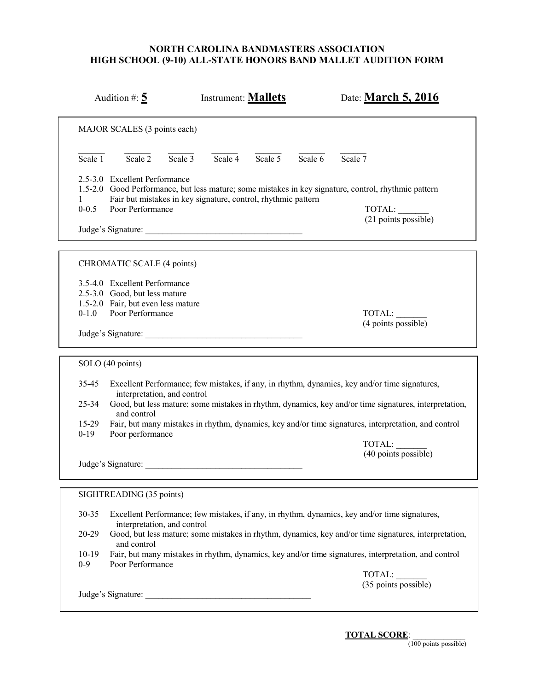| MAJOR SCALES (3 points each)<br>$\overline{\text{Scale} 1}$<br>Scale $\overline{2}$<br>Scale $3$<br>Scale $\overline{4}$<br>Scale $\overline{5}$<br>Scale 7<br>Scale 6<br>2.5-3.0 Excellent Performance<br>1.5-2.0 Good Performance, but less mature; some mistakes in key signature, control, rhythmic pattern<br>Fair but mistakes in key signature, control, rhythmic pattern<br>1<br>$0 - 0.5$<br>Poor Performance<br>TOTAL:<br>(21 points possible)<br>CHROMATIC SCALE (4 points)<br>3.5-4.0 Excellent Performance<br>2.5-3.0 Good, but less mature<br>1.5-2.0 Fair, but even less mature<br>Poor Performance<br>$0 - 1.0$<br>TOTAL:<br>(4 points possible)<br>Judge's Signature:<br>SOLO (40 points)<br>35-45<br>Excellent Performance; few mistakes, if any, in rhythm, dynamics, key and/or time signatures,<br>interpretation, and control<br>Good, but less mature; some mistakes in rhythm, dynamics, key and/or time signatures, interpretation,<br>$25 - 34$<br>and control<br>15-29<br>Fair, but many mistakes in rhythm, dynamics, key and/or time signatures, interpretation, and control<br>$0 - 19$<br>Poor performance<br>TOTAL:<br>(40 points possible)<br>Judge's Signature:<br>SIGHTREADING (35 points)<br>30-35<br>Excellent Performance; few mistakes, if any, in rhythm, dynamics, key and/or time signatures,<br>interpretation, and control<br>20-29<br>Good, but less mature; some mistakes in rhythm, dynamics, key and/or time signatures, interpretation,<br>and control<br>Fair, but many mistakes in rhythm, dynamics, key and/or time signatures, interpretation, and control<br>$10-19$<br>$0-9$<br>Poor Performance<br>TOTAL:<br>(35 points possible)<br>Judge's Signature: | Audition #: $5$ | <b>Instrument: Mallets</b> |  | Date: March 5, 2016 |  |
|-----------------------------------------------------------------------------------------------------------------------------------------------------------------------------------------------------------------------------------------------------------------------------------------------------------------------------------------------------------------------------------------------------------------------------------------------------------------------------------------------------------------------------------------------------------------------------------------------------------------------------------------------------------------------------------------------------------------------------------------------------------------------------------------------------------------------------------------------------------------------------------------------------------------------------------------------------------------------------------------------------------------------------------------------------------------------------------------------------------------------------------------------------------------------------------------------------------------------------------------------------------------------------------------------------------------------------------------------------------------------------------------------------------------------------------------------------------------------------------------------------------------------------------------------------------------------------------------------------------------------------------------------------------------------------------------------------------------|-----------------|----------------------------|--|---------------------|--|
|                                                                                                                                                                                                                                                                                                                                                                                                                                                                                                                                                                                                                                                                                                                                                                                                                                                                                                                                                                                                                                                                                                                                                                                                                                                                                                                                                                                                                                                                                                                                                                                                                                                                                                                 |                 |                            |  |                     |  |
|                                                                                                                                                                                                                                                                                                                                                                                                                                                                                                                                                                                                                                                                                                                                                                                                                                                                                                                                                                                                                                                                                                                                                                                                                                                                                                                                                                                                                                                                                                                                                                                                                                                                                                                 |                 |                            |  |                     |  |
|                                                                                                                                                                                                                                                                                                                                                                                                                                                                                                                                                                                                                                                                                                                                                                                                                                                                                                                                                                                                                                                                                                                                                                                                                                                                                                                                                                                                                                                                                                                                                                                                                                                                                                                 |                 |                            |  |                     |  |
|                                                                                                                                                                                                                                                                                                                                                                                                                                                                                                                                                                                                                                                                                                                                                                                                                                                                                                                                                                                                                                                                                                                                                                                                                                                                                                                                                                                                                                                                                                                                                                                                                                                                                                                 |                 |                            |  |                     |  |
|                                                                                                                                                                                                                                                                                                                                                                                                                                                                                                                                                                                                                                                                                                                                                                                                                                                                                                                                                                                                                                                                                                                                                                                                                                                                                                                                                                                                                                                                                                                                                                                                                                                                                                                 |                 |                            |  |                     |  |
|                                                                                                                                                                                                                                                                                                                                                                                                                                                                                                                                                                                                                                                                                                                                                                                                                                                                                                                                                                                                                                                                                                                                                                                                                                                                                                                                                                                                                                                                                                                                                                                                                                                                                                                 |                 |                            |  |                     |  |
|                                                                                                                                                                                                                                                                                                                                                                                                                                                                                                                                                                                                                                                                                                                                                                                                                                                                                                                                                                                                                                                                                                                                                                                                                                                                                                                                                                                                                                                                                                                                                                                                                                                                                                                 |                 |                            |  |                     |  |
|                                                                                                                                                                                                                                                                                                                                                                                                                                                                                                                                                                                                                                                                                                                                                                                                                                                                                                                                                                                                                                                                                                                                                                                                                                                                                                                                                                                                                                                                                                                                                                                                                                                                                                                 |                 |                            |  |                     |  |
|                                                                                                                                                                                                                                                                                                                                                                                                                                                                                                                                                                                                                                                                                                                                                                                                                                                                                                                                                                                                                                                                                                                                                                                                                                                                                                                                                                                                                                                                                                                                                                                                                                                                                                                 |                 |                            |  |                     |  |
|                                                                                                                                                                                                                                                                                                                                                                                                                                                                                                                                                                                                                                                                                                                                                                                                                                                                                                                                                                                                                                                                                                                                                                                                                                                                                                                                                                                                                                                                                                                                                                                                                                                                                                                 |                 |                            |  |                     |  |
|                                                                                                                                                                                                                                                                                                                                                                                                                                                                                                                                                                                                                                                                                                                                                                                                                                                                                                                                                                                                                                                                                                                                                                                                                                                                                                                                                                                                                                                                                                                                                                                                                                                                                                                 |                 |                            |  |                     |  |
|                                                                                                                                                                                                                                                                                                                                                                                                                                                                                                                                                                                                                                                                                                                                                                                                                                                                                                                                                                                                                                                                                                                                                                                                                                                                                                                                                                                                                                                                                                                                                                                                                                                                                                                 |                 |                            |  |                     |  |
|                                                                                                                                                                                                                                                                                                                                                                                                                                                                                                                                                                                                                                                                                                                                                                                                                                                                                                                                                                                                                                                                                                                                                                                                                                                                                                                                                                                                                                                                                                                                                                                                                                                                                                                 |                 |                            |  |                     |  |
|                                                                                                                                                                                                                                                                                                                                                                                                                                                                                                                                                                                                                                                                                                                                                                                                                                                                                                                                                                                                                                                                                                                                                                                                                                                                                                                                                                                                                                                                                                                                                                                                                                                                                                                 |                 |                            |  |                     |  |
|                                                                                                                                                                                                                                                                                                                                                                                                                                                                                                                                                                                                                                                                                                                                                                                                                                                                                                                                                                                                                                                                                                                                                                                                                                                                                                                                                                                                                                                                                                                                                                                                                                                                                                                 |                 |                            |  |                     |  |
|                                                                                                                                                                                                                                                                                                                                                                                                                                                                                                                                                                                                                                                                                                                                                                                                                                                                                                                                                                                                                                                                                                                                                                                                                                                                                                                                                                                                                                                                                                                                                                                                                                                                                                                 |                 |                            |  |                     |  |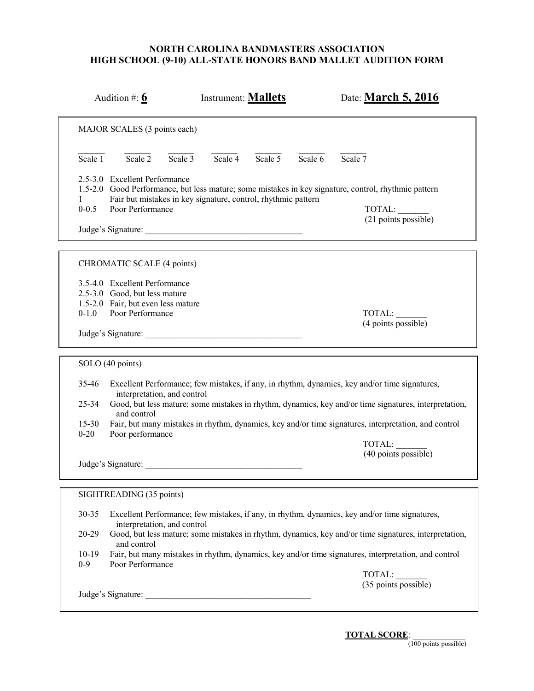| MAJOR SCALES (3 points each)<br>$\overline{\text{Scale} 1}$<br>Scale $\overline{2}$<br>Scale $3$<br>Scale $\overline{4}$<br>Scale $\overline{5}$<br>Scale 7<br>Scale 6<br>2.5-3.0 Excellent Performance<br>1.5-2.0 Good Performance, but less mature; some mistakes in key signature, control, rhythmic pattern<br>Fair but mistakes in key signature, control, rhythmic pattern<br>1<br>$0 - 0.5$<br>Poor Performance<br>TOTAL:<br>(21 points possible)<br>CHROMATIC SCALE (4 points)<br>3.5-4.0 Excellent Performance<br>2.5-3.0 Good, but less mature<br>1.5-2.0 Fair, but even less mature<br>Poor Performance<br>$0 - 1.0$<br>TOTAL:<br>(4 points possible)<br>Judge's Signature:<br>SOLO (40 points)<br>35-46<br>Excellent Performance; few mistakes, if any, in rhythm, dynamics, key and/or time signatures,<br>interpretation, and control<br>Good, but less mature; some mistakes in rhythm, dynamics, key and/or time signatures, interpretation,<br>$25 - 34$<br>and control<br>$15 - 30$<br>Fair, but many mistakes in rhythm, dynamics, key and/or time signatures, interpretation, and control<br>$0 - 20$<br>Poor performance<br>TOTAL:<br>(40 points possible)<br>Judge's Signature:<br>SIGHTREADING (35 points)<br>30-35<br>Excellent Performance; few mistakes, if any, in rhythm, dynamics, key and/or time signatures,<br>interpretation, and control<br>20-29<br>Good, but less mature; some mistakes in rhythm, dynamics, key and/or time signatures, interpretation,<br>and control<br>Fair, but many mistakes in rhythm, dynamics, key and/or time signatures, interpretation, and control<br>$10-19$<br>$0-9$<br>Poor Performance<br>TOTAL:<br>(35 points possible)<br>Judge's Signature: | Audition #: $6$ | <b>Instrument: Mallets</b> | Date: March 5, 2016 |
|---------------------------------------------------------------------------------------------------------------------------------------------------------------------------------------------------------------------------------------------------------------------------------------------------------------------------------------------------------------------------------------------------------------------------------------------------------------------------------------------------------------------------------------------------------------------------------------------------------------------------------------------------------------------------------------------------------------------------------------------------------------------------------------------------------------------------------------------------------------------------------------------------------------------------------------------------------------------------------------------------------------------------------------------------------------------------------------------------------------------------------------------------------------------------------------------------------------------------------------------------------------------------------------------------------------------------------------------------------------------------------------------------------------------------------------------------------------------------------------------------------------------------------------------------------------------------------------------------------------------------------------------------------------------------------------------------------------------|-----------------|----------------------------|---------------------|
|                                                                                                                                                                                                                                                                                                                                                                                                                                                                                                                                                                                                                                                                                                                                                                                                                                                                                                                                                                                                                                                                                                                                                                                                                                                                                                                                                                                                                                                                                                                                                                                                                                                                                                                     |                 |                            |                     |
|                                                                                                                                                                                                                                                                                                                                                                                                                                                                                                                                                                                                                                                                                                                                                                                                                                                                                                                                                                                                                                                                                                                                                                                                                                                                                                                                                                                                                                                                                                                                                                                                                                                                                                                     |                 |                            |                     |
|                                                                                                                                                                                                                                                                                                                                                                                                                                                                                                                                                                                                                                                                                                                                                                                                                                                                                                                                                                                                                                                                                                                                                                                                                                                                                                                                                                                                                                                                                                                                                                                                                                                                                                                     |                 |                            |                     |
|                                                                                                                                                                                                                                                                                                                                                                                                                                                                                                                                                                                                                                                                                                                                                                                                                                                                                                                                                                                                                                                                                                                                                                                                                                                                                                                                                                                                                                                                                                                                                                                                                                                                                                                     |                 |                            |                     |
|                                                                                                                                                                                                                                                                                                                                                                                                                                                                                                                                                                                                                                                                                                                                                                                                                                                                                                                                                                                                                                                                                                                                                                                                                                                                                                                                                                                                                                                                                                                                                                                                                                                                                                                     |                 |                            |                     |
|                                                                                                                                                                                                                                                                                                                                                                                                                                                                                                                                                                                                                                                                                                                                                                                                                                                                                                                                                                                                                                                                                                                                                                                                                                                                                                                                                                                                                                                                                                                                                                                                                                                                                                                     |                 |                            |                     |
|                                                                                                                                                                                                                                                                                                                                                                                                                                                                                                                                                                                                                                                                                                                                                                                                                                                                                                                                                                                                                                                                                                                                                                                                                                                                                                                                                                                                                                                                                                                                                                                                                                                                                                                     |                 |                            |                     |
|                                                                                                                                                                                                                                                                                                                                                                                                                                                                                                                                                                                                                                                                                                                                                                                                                                                                                                                                                                                                                                                                                                                                                                                                                                                                                                                                                                                                                                                                                                                                                                                                                                                                                                                     |                 |                            |                     |
|                                                                                                                                                                                                                                                                                                                                                                                                                                                                                                                                                                                                                                                                                                                                                                                                                                                                                                                                                                                                                                                                                                                                                                                                                                                                                                                                                                                                                                                                                                                                                                                                                                                                                                                     |                 |                            |                     |
|                                                                                                                                                                                                                                                                                                                                                                                                                                                                                                                                                                                                                                                                                                                                                                                                                                                                                                                                                                                                                                                                                                                                                                                                                                                                                                                                                                                                                                                                                                                                                                                                                                                                                                                     |                 |                            |                     |
|                                                                                                                                                                                                                                                                                                                                                                                                                                                                                                                                                                                                                                                                                                                                                                                                                                                                                                                                                                                                                                                                                                                                                                                                                                                                                                                                                                                                                                                                                                                                                                                                                                                                                                                     |                 |                            |                     |
|                                                                                                                                                                                                                                                                                                                                                                                                                                                                                                                                                                                                                                                                                                                                                                                                                                                                                                                                                                                                                                                                                                                                                                                                                                                                                                                                                                                                                                                                                                                                                                                                                                                                                                                     |                 |                            |                     |
|                                                                                                                                                                                                                                                                                                                                                                                                                                                                                                                                                                                                                                                                                                                                                                                                                                                                                                                                                                                                                                                                                                                                                                                                                                                                                                                                                                                                                                                                                                                                                                                                                                                                                                                     |                 |                            |                     |
|                                                                                                                                                                                                                                                                                                                                                                                                                                                                                                                                                                                                                                                                                                                                                                                                                                                                                                                                                                                                                                                                                                                                                                                                                                                                                                                                                                                                                                                                                                                                                                                                                                                                                                                     |                 |                            |                     |
|                                                                                                                                                                                                                                                                                                                                                                                                                                                                                                                                                                                                                                                                                                                                                                                                                                                                                                                                                                                                                                                                                                                                                                                                                                                                                                                                                                                                                                                                                                                                                                                                                                                                                                                     |                 |                            |                     |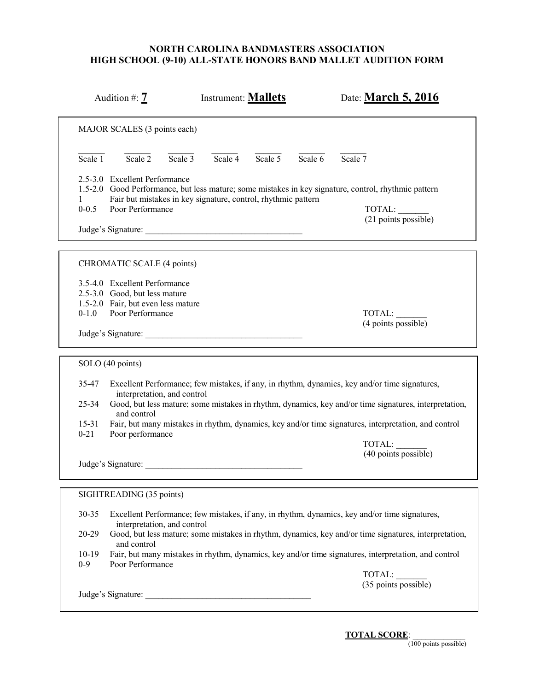| MAJOR SCALES (3 points each)<br>Scale $\overline{2}$<br>Scale $3$<br>Scale $\overline{4}$<br>Scale $\overline{5}$<br>Scale $6$<br>Scale $7$<br>Scale 1<br>2.5-3.0 Excellent Performance<br>1.5-2.0 Good Performance, but less mature; some mistakes in key signature, control, rhythmic pattern<br>Fair but mistakes in key signature, control, rhythmic pattern<br>1<br>$0 - 0.5$<br>Poor Performance<br>TOTAL:<br>(21 points possible)<br>CHROMATIC SCALE (4 points)<br>3.5-4.0 Excellent Performance<br>2.5-3.0 Good, but less mature<br>1.5-2.0 Fair, but even less mature<br>$0 - 1.0$<br>Poor Performance<br>TOTAL:<br>(4 points possible)<br>Judge's Signature:<br>SOLO (40 points)<br>35-47<br>Excellent Performance; few mistakes, if any, in rhythm, dynamics, key and/or time signatures,<br>interpretation, and control<br>Good, but less mature; some mistakes in rhythm, dynamics, key and/or time signatures, interpretation,<br>$25 - 34$<br>and control<br>$15 - 31$<br>Fair, but many mistakes in rhythm, dynamics, key and/or time signatures, interpretation, and control<br>$0 - 21$<br>Poor performance<br>TOTAL:<br>$(40$ points possible)<br>Judge's Signature:<br>SIGHTREADING (35 points)<br>30-35<br>Excellent Performance; few mistakes, if any, in rhythm, dynamics, key and/or time signatures,<br>interpretation, and control<br>$20 - 29$<br>Good, but less mature; some mistakes in rhythm, dynamics, key and/or time signatures, interpretation,<br>and control<br>$10-19$<br>Fair, but many mistakes in rhythm, dynamics, key and/or time signatures, interpretation, and control | Date: March 5, 2016 | <b>Instrument: Mallets</b> | Audition #: $7$ |         |
|----------------------------------------------------------------------------------------------------------------------------------------------------------------------------------------------------------------------------------------------------------------------------------------------------------------------------------------------------------------------------------------------------------------------------------------------------------------------------------------------------------------------------------------------------------------------------------------------------------------------------------------------------------------------------------------------------------------------------------------------------------------------------------------------------------------------------------------------------------------------------------------------------------------------------------------------------------------------------------------------------------------------------------------------------------------------------------------------------------------------------------------------------------------------------------------------------------------------------------------------------------------------------------------------------------------------------------------------------------------------------------------------------------------------------------------------------------------------------------------------------------------------------------------------------------------------------------------------------------------------|---------------------|----------------------------|-----------------|---------|
|                                                                                                                                                                                                                                                                                                                                                                                                                                                                                                                                                                                                                                                                                                                                                                                                                                                                                                                                                                                                                                                                                                                                                                                                                                                                                                                                                                                                                                                                                                                                                                                                                      |                     |                            |                 |         |
|                                                                                                                                                                                                                                                                                                                                                                                                                                                                                                                                                                                                                                                                                                                                                                                                                                                                                                                                                                                                                                                                                                                                                                                                                                                                                                                                                                                                                                                                                                                                                                                                                      |                     |                            |                 |         |
|                                                                                                                                                                                                                                                                                                                                                                                                                                                                                                                                                                                                                                                                                                                                                                                                                                                                                                                                                                                                                                                                                                                                                                                                                                                                                                                                                                                                                                                                                                                                                                                                                      |                     |                            |                 |         |
|                                                                                                                                                                                                                                                                                                                                                                                                                                                                                                                                                                                                                                                                                                                                                                                                                                                                                                                                                                                                                                                                                                                                                                                                                                                                                                                                                                                                                                                                                                                                                                                                                      |                     |                            |                 |         |
|                                                                                                                                                                                                                                                                                                                                                                                                                                                                                                                                                                                                                                                                                                                                                                                                                                                                                                                                                                                                                                                                                                                                                                                                                                                                                                                                                                                                                                                                                                                                                                                                                      |                     |                            |                 |         |
|                                                                                                                                                                                                                                                                                                                                                                                                                                                                                                                                                                                                                                                                                                                                                                                                                                                                                                                                                                                                                                                                                                                                                                                                                                                                                                                                                                                                                                                                                                                                                                                                                      |                     |                            |                 |         |
|                                                                                                                                                                                                                                                                                                                                                                                                                                                                                                                                                                                                                                                                                                                                                                                                                                                                                                                                                                                                                                                                                                                                                                                                                                                                                                                                                                                                                                                                                                                                                                                                                      |                     |                            |                 |         |
|                                                                                                                                                                                                                                                                                                                                                                                                                                                                                                                                                                                                                                                                                                                                                                                                                                                                                                                                                                                                                                                                                                                                                                                                                                                                                                                                                                                                                                                                                                                                                                                                                      |                     |                            |                 |         |
|                                                                                                                                                                                                                                                                                                                                                                                                                                                                                                                                                                                                                                                                                                                                                                                                                                                                                                                                                                                                                                                                                                                                                                                                                                                                                                                                                                                                                                                                                                                                                                                                                      |                     |                            |                 |         |
|                                                                                                                                                                                                                                                                                                                                                                                                                                                                                                                                                                                                                                                                                                                                                                                                                                                                                                                                                                                                                                                                                                                                                                                                                                                                                                                                                                                                                                                                                                                                                                                                                      |                     |                            |                 |         |
| Poor Performance                                                                                                                                                                                                                                                                                                                                                                                                                                                                                                                                                                                                                                                                                                                                                                                                                                                                                                                                                                                                                                                                                                                                                                                                                                                                                                                                                                                                                                                                                                                                                                                                     |                     |                            |                 | $0 - 9$ |
| TOTAL:<br>$(35$ points possible)<br>Judge's Signature:                                                                                                                                                                                                                                                                                                                                                                                                                                                                                                                                                                                                                                                                                                                                                                                                                                                                                                                                                                                                                                                                                                                                                                                                                                                                                                                                                                                                                                                                                                                                                               |                     |                            |                 |         |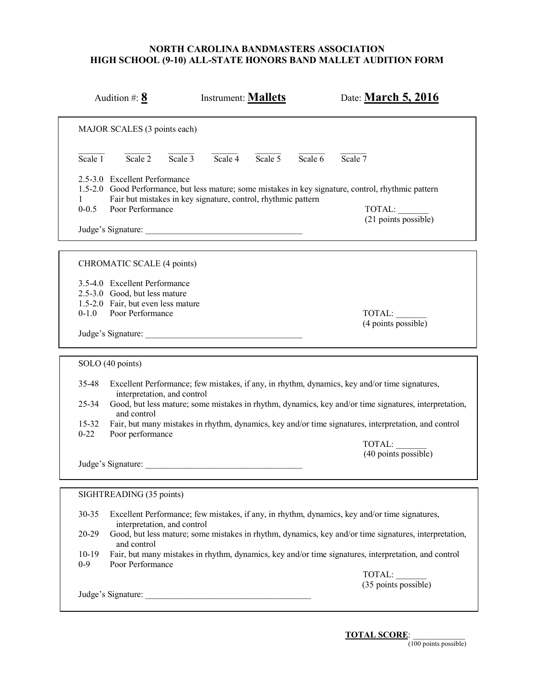| Audition #: $8$                                                                                                                       | <b>Instrument: Mallets</b>                                    | Date: March 5, 2016                                                                                                                                                                                                                                                                                            |
|---------------------------------------------------------------------------------------------------------------------------------------|---------------------------------------------------------------|----------------------------------------------------------------------------------------------------------------------------------------------------------------------------------------------------------------------------------------------------------------------------------------------------------------|
| MAJOR SCALES (3 points each)                                                                                                          |                                                               |                                                                                                                                                                                                                                                                                                                |
| Scale $\overline{2}$<br>Scale $3$<br>Scale 1                                                                                          | Scale 4 Scale 5                                               | Scale 7<br>Scale 6                                                                                                                                                                                                                                                                                             |
| 2.5-3.0 Excellent Performance<br>$\mathbf{1}$<br>$0 - 0.5$<br>Poor Performance                                                        | Fair but mistakes in key signature, control, rhythmic pattern | 1.5-2.0 Good Performance, but less mature; some mistakes in key signature, control, rhythmic pattern<br>TOTAL:<br>(21 points possible)                                                                                                                                                                         |
| CHROMATIC SCALE (4 points)                                                                                                            |                                                               |                                                                                                                                                                                                                                                                                                                |
| 3.5-4.0 Excellent Performance<br>2.5-3.0 Good, but less mature<br>1.5-2.0 Fair, but even less mature<br>Poor Performance<br>$0 - 1.0$ | Judge's Signature:                                            | TOTAL:<br>(4 points possible)                                                                                                                                                                                                                                                                                  |
| SOLO (40 points)                                                                                                                      |                                                               |                                                                                                                                                                                                                                                                                                                |
| 35-48<br>interpretation, and control<br>$25 - 34$<br>and control<br>$15 - 32$<br>$0 - 22$<br>Poor performance                         |                                                               | Excellent Performance; few mistakes, if any, in rhythm, dynamics, key and/or time signatures,<br>Good, but less mature; some mistakes in rhythm, dynamics, key and/or time signatures, interpretation,<br>Fair, but many mistakes in rhythm, dynamics, key and/or time signatures, interpretation, and control |
|                                                                                                                                       | Judge's Signature:                                            | TOTAL:<br>(40 points possible)                                                                                                                                                                                                                                                                                 |
| SIGHTREADING (35 points)                                                                                                              |                                                               |                                                                                                                                                                                                                                                                                                                |
| 30-35<br>interpretation, and control<br>20-29<br>and control<br>$10-19$<br>$0-9$<br>Poor Performance                                  |                                                               | Excellent Performance; few mistakes, if any, in rhythm, dynamics, key and/or time signatures,<br>Good, but less mature; some mistakes in rhythm, dynamics, key and/or time signatures, interpretation,<br>Fair, but many mistakes in rhythm, dynamics, key and/or time signatures, interpretation, and control |
|                                                                                                                                       | Judge's Signature:                                            | TOTAL:<br>(35 points possible)                                                                                                                                                                                                                                                                                 |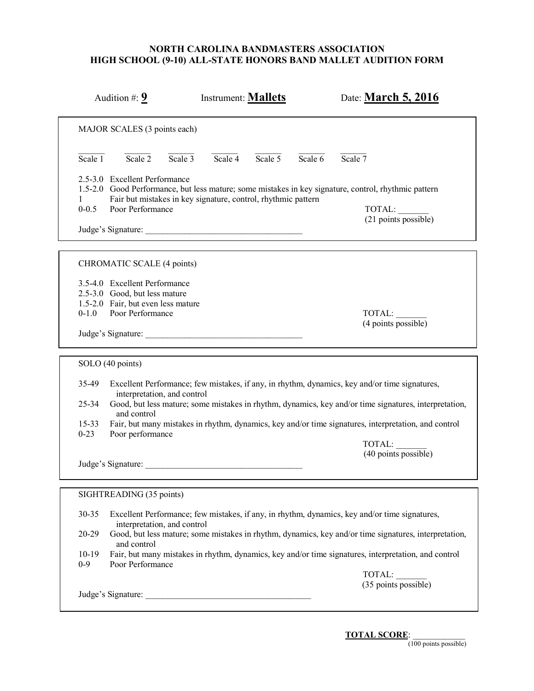| Audition #: $9$                                                                                                                                             | <b>Instrument: Mallets</b>                                    | Date: March 5, 2016                                                                                                                                                                                                                                                                                            |
|-------------------------------------------------------------------------------------------------------------------------------------------------------------|---------------------------------------------------------------|----------------------------------------------------------------------------------------------------------------------------------------------------------------------------------------------------------------------------------------------------------------------------------------------------------------|
| MAJOR SCALES (3 points each)                                                                                                                                |                                                               |                                                                                                                                                                                                                                                                                                                |
| Scale $\overline{2}$<br>Scale $3$<br>Scale 1                                                                                                                | Scale 4 Scale 5                                               | Scale 7<br>Scale 6                                                                                                                                                                                                                                                                                             |
| 2.5-3.0 Excellent Performance<br>$\mathbf{1}$<br>$0 - 0.5$<br>Poor Performance                                                                              | Fair but mistakes in key signature, control, rhythmic pattern | 1.5-2.0 Good Performance, but less mature; some mistakes in key signature, control, rhythmic pattern<br>TOTAL:<br>(21 points possible)                                                                                                                                                                         |
| CHROMATIC SCALE (4 points)                                                                                                                                  |                                                               |                                                                                                                                                                                                                                                                                                                |
| 3.5-4.0 Excellent Performance<br>2.5-3.0 Good, but less mature<br>1.5-2.0 Fair, but even less mature<br>Poor Performance<br>$0 - 1.0$<br>Judge's Signature: |                                                               | TOTAL:<br>(4 points possible)                                                                                                                                                                                                                                                                                  |
| SOLO (40 points)                                                                                                                                            |                                                               |                                                                                                                                                                                                                                                                                                                |
| 35-49<br>interpretation, and control<br>$25 - 34$<br>and control<br>$15 - 33$<br>$0 - 23$<br>Poor performance                                               |                                                               | Excellent Performance; few mistakes, if any, in rhythm, dynamics, key and/or time signatures,<br>Good, but less mature; some mistakes in rhythm, dynamics, key and/or time signatures, interpretation,<br>Fair, but many mistakes in rhythm, dynamics, key and/or time signatures, interpretation, and control |
| Judge's Signature:                                                                                                                                          |                                                               | TOTAL:<br>(40 points possible)                                                                                                                                                                                                                                                                                 |
| SIGHTREADING (35 points)                                                                                                                                    |                                                               |                                                                                                                                                                                                                                                                                                                |
| 30-35<br>interpretation, and control                                                                                                                        |                                                               | Excellent Performance; few mistakes, if any, in rhythm, dynamics, key and/or time signatures,                                                                                                                                                                                                                  |
| 20-29<br>and control<br>$10-19$                                                                                                                             |                                                               | Good, but less mature; some mistakes in rhythm, dynamics, key and/or time signatures, interpretation,<br>Fair, but many mistakes in rhythm, dynamics, key and/or time signatures, interpretation, and control                                                                                                  |
| $0-9$<br>Poor Performance                                                                                                                                   |                                                               | TOTAL:                                                                                                                                                                                                                                                                                                         |
| Judge's Signature:                                                                                                                                          |                                                               | $(35$ points possible)                                                                                                                                                                                                                                                                                         |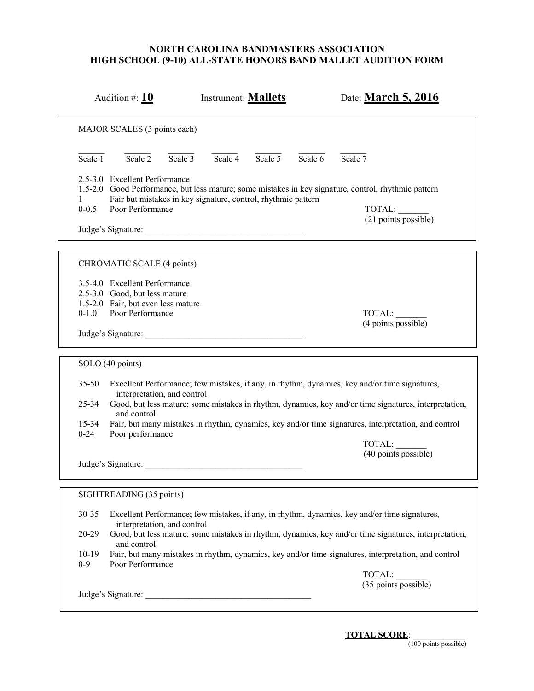|                             | Audition #: $10$                                                                                                         |           | Instrument: <b>Mallets</b> |           |           | Date: March 5, 2016                                                                                                                    |
|-----------------------------|--------------------------------------------------------------------------------------------------------------------------|-----------|----------------------------|-----------|-----------|----------------------------------------------------------------------------------------------------------------------------------------|
|                             | MAJOR SCALES (3 points each)                                                                                             |           |                            |           |           |                                                                                                                                        |
| $\overline{\text{Scale} 1}$ | Scale $\overline{2}$                                                                                                     | Scale $3$ | Scale $\overline{4}$       | Scale $5$ | Scale $6$ | Scale $7$                                                                                                                              |
| 1.<br>$0 - 0.5$             | 2.5-3.0 Excellent Performance<br>Fair but mistakes in key signature, control, rhythmic pattern<br>Poor Performance       |           |                            |           |           | 1.5-2.0 Good Performance, but less mature; some mistakes in key signature, control, rhythmic pattern<br>TOTAL:<br>(21 points possible) |
|                             |                                                                                                                          |           |                            |           |           |                                                                                                                                        |
|                             | CHROMATIC SCALE (4 points)                                                                                               |           |                            |           |           |                                                                                                                                        |
| $0 - 1.0$                   | 3.5-4.0 Excellent Performance<br>2.5-3.0 Good, but less mature<br>1.5-2.0 Fair, but even less mature<br>Poor Performance |           |                            |           |           | TOTAL:                                                                                                                                 |
|                             | Judge's Signature:                                                                                                       |           |                            |           |           | (4 points possible)                                                                                                                    |
| SOLO (40 points)            |                                                                                                                          |           |                            |           |           |                                                                                                                                        |
| $35 - 50$                   | interpretation, and control                                                                                              |           |                            |           |           | Excellent Performance; few mistakes, if any, in rhythm, dynamics, key and/or time signatures,                                          |
| $25 - 34$                   | and control                                                                                                              |           |                            |           |           | Good, but less mature; some mistakes in rhythm, dynamics, key and/or time signatures, interpretation,                                  |
| $15 - 34$<br>$0 - 24$       | Poor performance                                                                                                         |           |                            |           |           | Fair, but many mistakes in rhythm, dynamics, key and/or time signatures, interpretation, and control                                   |
|                             |                                                                                                                          |           |                            |           |           | TOTAL:<br>(40 points possible)                                                                                                         |
|                             | Judge's Signature:                                                                                                       |           |                            |           |           |                                                                                                                                        |
|                             | SIGHTREADING (35 points)                                                                                                 |           |                            |           |           |                                                                                                                                        |
| 30-35                       | interpretation, and control                                                                                              |           |                            |           |           | Excellent Performance; few mistakes, if any, in rhythm, dynamics, key and/or time signatures,                                          |
| 20-29                       | and control                                                                                                              |           |                            |           |           | Good, but less mature; some mistakes in rhythm, dynamics, key and/or time signatures, interpretation,                                  |
| $10-19$<br>$0 - 9$          | Poor Performance                                                                                                         |           |                            |           |           | Fair, but many mistakes in rhythm, dynamics, key and/or time signatures, interpretation, and control                                   |
|                             |                                                                                                                          |           |                            |           |           | TOTAL:<br>(35 points possible)                                                                                                         |
|                             |                                                                                                                          |           |                            |           |           |                                                                                                                                        |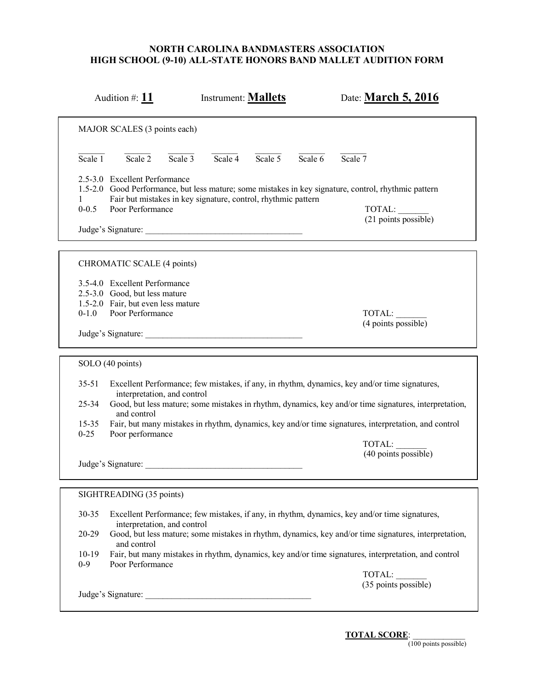|                                                 | Audition #: $11$                                                                                                                               |           | Instrument: <b>Mallets</b> |                 |           | Date: <b>March 5, 2016</b>                                                                                                                                                                                                                                                                                     |
|-------------------------------------------------|------------------------------------------------------------------------------------------------------------------------------------------------|-----------|----------------------------|-----------------|-----------|----------------------------------------------------------------------------------------------------------------------------------------------------------------------------------------------------------------------------------------------------------------------------------------------------------------|
|                                                 | MAJOR SCALES (3 points each)                                                                                                                   |           |                            |                 |           |                                                                                                                                                                                                                                                                                                                |
| $\overline{\text{Scale} 1}$                     | Scale $2$                                                                                                                                      | Scale $3$ |                            | Scale 4 Scale 5 | Scale $6$ | Scale $7$                                                                                                                                                                                                                                                                                                      |
| 1<br>$0 - 0.5$                                  | 2.5-3.0 Excellent Performance<br>Fair but mistakes in key signature, control, rhythmic pattern<br>Poor Performance                             |           |                            |                 |           | 1.5-2.0 Good Performance, but less mature; some mistakes in key signature, control, rhythmic pattern<br>TOTAL:<br>(21 points possible)                                                                                                                                                                         |
|                                                 | CHROMATIC SCALE (4 points)                                                                                                                     |           |                            |                 |           |                                                                                                                                                                                                                                                                                                                |
| $0 - 1.0$                                       | 3.5-4.0 Excellent Performance<br>2.5-3.0 Good, but less mature<br>1.5-2.0 Fair, but even less mature<br>Poor Performance<br>Judge's Signature: |           |                            |                 |           | TOTAL:<br>(4 points possible)                                                                                                                                                                                                                                                                                  |
|                                                 | SOLO (40 points)                                                                                                                               |           |                            |                 |           |                                                                                                                                                                                                                                                                                                                |
| $35 - 51$<br>$25 - 34$<br>$15 - 35$<br>$0 - 25$ | interpretation, and control<br>and control<br>Poor performance                                                                                 |           |                            |                 |           | Excellent Performance; few mistakes, if any, in rhythm, dynamics, key and/or time signatures,<br>Good, but less mature; some mistakes in rhythm, dynamics, key and/or time signatures, interpretation,<br>Fair, but many mistakes in rhythm, dynamics, key and/or time signatures, interpretation, and control |
|                                                 | Judge's Signature:                                                                                                                             |           |                            |                 |           | TOTAL:<br>$(40$ points possible)                                                                                                                                                                                                                                                                               |
|                                                 | SIGHTREADING (35 points)                                                                                                                       |           |                            |                 |           |                                                                                                                                                                                                                                                                                                                |
| 30-35                                           | interpretation, and control                                                                                                                    |           |                            |                 |           | Excellent Performance; few mistakes, if any, in rhythm, dynamics, key and/or time signatures,                                                                                                                                                                                                                  |
| 20-29<br>$10-19$                                | and control                                                                                                                                    |           |                            |                 |           | Good, but less mature; some mistakes in rhythm, dynamics, key and/or time signatures, interpretation,<br>Fair, but many mistakes in rhythm, dynamics, key and/or time signatures, interpretation, and control                                                                                                  |
| $0 - 9$                                         | Poor Performance                                                                                                                               |           |                            |                 |           | TOTAL:<br>$(35$ points possible)                                                                                                                                                                                                                                                                               |
|                                                 |                                                                                                                                                |           |                            |                 |           |                                                                                                                                                                                                                                                                                                                |